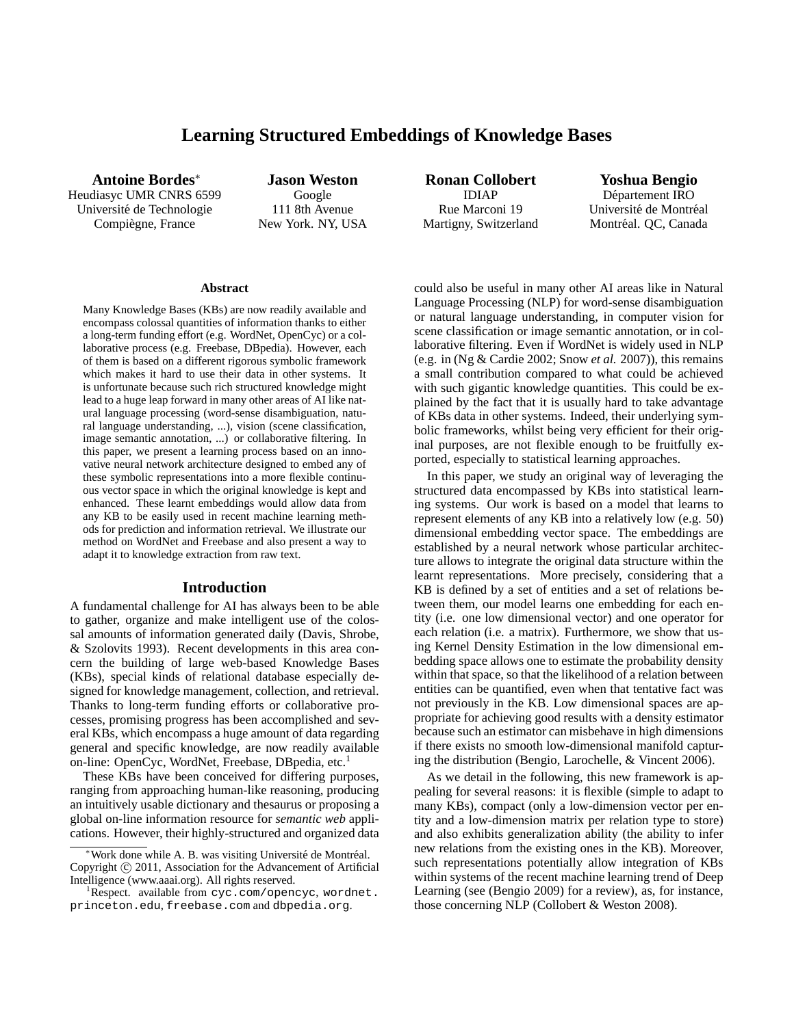# **Learning Structured Embeddings of Knowledge Bases**

**Antoine Bordes**<sup>∗</sup> Heudiasyc UMR CNRS 6599 Universite de Technologie ´ Compiègne, France

**Jason Weston** Google 111 8th Avenue New York. NY, USA

**Ronan Collobert** IDIAP Rue Marconi 19 Martigny, Switzerland

**Yoshua Bengio** Département IRO Université de Montréal Montréal. QC, Canada

#### **Abstract**

Many Knowledge Bases (KBs) are now readily available and encompass colossal quantities of information thanks to either a long-term funding effort (e.g. WordNet, OpenCyc) or a collaborative process (e.g. Freebase, DBpedia). However, each of them is based on a different rigorous symbolic framework which makes it hard to use their data in other systems. It is unfortunate because such rich structured knowledge might lead to a huge leap forward in many other areas of AI like natural language processing (word-sense disambiguation, natural language understanding, ...), vision (scene classification, image semantic annotation, ...) or collaborative filtering. In this paper, we present a learning process based on an innovative neural network architecture designed to embed any of these symbolic representations into a more flexible continuous vector space in which the original knowledge is kept and enhanced. These learnt embeddings would allow data from any KB to be easily used in recent machine learning methods for prediction and information retrieval. We illustrate our method on WordNet and Freebase and also present a way to adapt it to knowledge extraction from raw text.

## **Introduction**

A fundamental challenge for AI has always been to be able to gather, organize and make intelligent use of the colossal amounts of information generated daily (Davis, Shrobe, & Szolovits 1993). Recent developments in this area concern the building of large web-based Knowledge Bases (KBs), special kinds of relational database especially designed for knowledge management, collection, and retrieval. Thanks to long-term funding efforts or collaborative processes, promising progress has been accomplished and several KBs, which encompass a huge amount of data regarding general and specific knowledge, are now readily available on-line: OpenCyc, WordNet, Freebase, DBpedia, etc.<sup>1</sup>

These KBs have been conceived for differing purposes, ranging from approaching human-like reasoning, producing an intuitively usable dictionary and thesaurus or proposing a global on-line information resource for *semantic web* applications. However, their highly-structured and organized data could also be useful in many other AI areas like in Natural Language Processing (NLP) for word-sense disambiguation or natural language understanding, in computer vision for scene classification or image semantic annotation, or in collaborative filtering. Even if WordNet is widely used in NLP (e.g. in (Ng & Cardie 2002; Snow *et al.* 2007)), this remains a small contribution compared to what could be achieved with such gigantic knowledge quantities. This could be explained by the fact that it is usually hard to take advantage of KBs data in other systems. Indeed, their underlying symbolic frameworks, whilst being very efficient for their original purposes, are not flexible enough to be fruitfully exported, especially to statistical learning approaches.

In this paper, we study an original way of leveraging the structured data encompassed by KBs into statistical learning systems. Our work is based on a model that learns to represent elements of any KB into a relatively low (e.g. 50) dimensional embedding vector space. The embeddings are established by a neural network whose particular architecture allows to integrate the original data structure within the learnt representations. More precisely, considering that a KB is defined by a set of entities and a set of relations between them, our model learns one embedding for each entity (i.e. one low dimensional vector) and one operator for each relation (i.e. a matrix). Furthermore, we show that using Kernel Density Estimation in the low dimensional embedding space allows one to estimate the probability density within that space, so that the likelihood of a relation between entities can be quantified, even when that tentative fact was not previously in the KB. Low dimensional spaces are appropriate for achieving good results with a density estimator because such an estimator can misbehave in high dimensions if there exists no smooth low-dimensional manifold capturing the distribution (Bengio, Larochelle, & Vincent 2006).

As we detail in the following, this new framework is appealing for several reasons: it is flexible (simple to adapt to many KBs), compact (only a low-dimension vector per entity and a low-dimension matrix per relation type to store) and also exhibits generalization ability (the ability to infer new relations from the existing ones in the KB). Moreover, such representations potentially allow integration of KBs within systems of the recent machine learning trend of Deep Learning (see (Bengio 2009) for a review), as, for instance, those concerning NLP (Collobert & Weston 2008).

Work done while A. B. was visiting Université de Montréal. Copyright (c) 2011, Association for the Advancement of Artificial Intelligence (www.aaai.org). All rights reserved.

 ${}^{1}$ Respect. available from cyc.com/opencyc, wordnet. princeton.edu, freebase.com and dbpedia.org.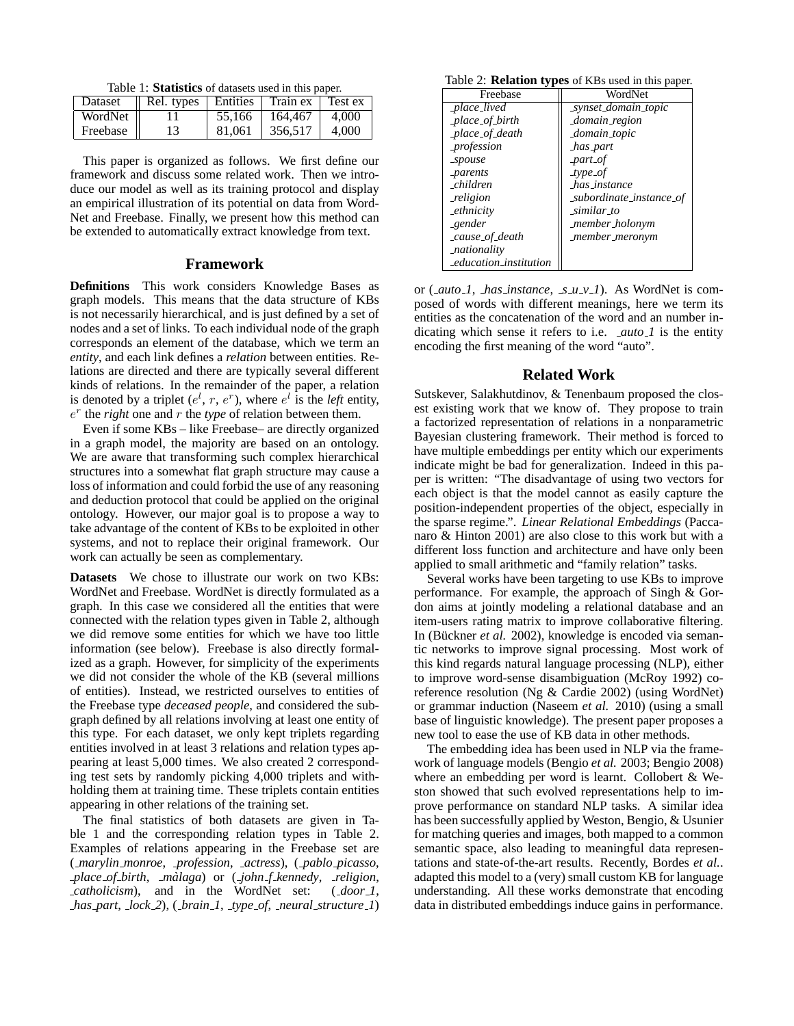Table 1: **Statistics** of datasets used in this paper.

| Dataset  | Rel. types | Entities | Train ex | Test ex |
|----------|------------|----------|----------|---------|
| WordNet  |            | 55,166   | 164,467  | 4.000   |
| Freebase |            | 81,061   | 356.517  | 4.000   |

This paper is organized as follows. We first define our framework and discuss some related work. Then we introduce our model as well as its training protocol and display an empirical illustration of its potential on data from Word-Net and Freebase. Finally, we present how this method can be extended to automatically extract knowledge from text.

### **Framework**

**Definitions** This work considers Knowledge Bases as graph models. This means that the data structure of KBs is not necessarily hierarchical, and is just defined by a set of nodes and a set of links. To each individual node of the graph corresponds an element of the database, which we term an *entity*, and each link defines a *relation* between entities. Relations are directed and there are typically several different kinds of relations. In the remainder of the paper, a relation is denoted by a triplet  $(e^l, r, e^r)$ , where  $e^l$  is the *left* entity,  $e^r$  the *right* one and  $r$  the *type* of relation between them.

Even if some KBs – like Freebase– are directly organized in a graph model, the majority are based on an ontology. We are aware that transforming such complex hierarchical structures into a somewhat flat graph structure may cause a loss of information and could forbid the use of any reasoning and deduction protocol that could be applied on the original ontology. However, our major goal is to propose a way to take advantage of the content of KBs to be exploited in other systems, and not to replace their original framework. Our work can actually be seen as complementary.

**Datasets** We chose to illustrate our work on two KBs: WordNet and Freebase. WordNet is directly formulated as a graph. In this case we considered all the entities that were connected with the relation types given in Table 2, although we did remove some entities for which we have too little information (see below). Freebase is also directly formalized as a graph. However, for simplicity of the experiments we did not consider the whole of the KB (several millions of entities). Instead, we restricted ourselves to entities of the Freebase type *deceased people*, and considered the subgraph defined by all relations involving at least one entity of this type. For each dataset, we only kept triplets regarding entities involved in at least 3 relations and relation types appearing at least 5,000 times. We also created 2 corresponding test sets by randomly picking 4,000 triplets and withholding them at training time. These triplets contain entities appearing in other relations of the training set.

The final statistics of both datasets are given in Table 1 and the corresponding relation types in Table 2. Examples of relations appearing in the Freebase set are ( *marylin monroe*, *profession*, *actress*), ( *pablo picasso*, *place of birth*, *malaga `* ) or ( *john f kennedy*, *religion*, *catholicism*), and in the WordNet set: ( *door 1*, *has part*, *lock 2*), ( *brain 1*, *type of*, *neural structure 1*)

Table 2: **Relation types** of KBs used in this paper.

| Freebase               | WordNet                              |
|------------------------|--------------------------------------|
| _place_lived           | _synset_domain_topic                 |
| _place_of_birth        | domain_region                        |
| _place_of_death        | domain_topic                         |
| <i>_profession</i>     | has_part                             |
| $_{\text{spouse}}$     | $part_of$                            |
| _parents               | $_type_of$                           |
| $\emph{-children}$     | $has_instance$                       |
| religion               | _subordinate_instance_of             |
| <i>ethnicity</i>       | $\textit{.}$ similar $\textit{.}$ to |
| _gender                | member_holonym                       |
| cause_of_death_        | member_meronym                       |
| nationality            |                                      |
| education_institution_ |                                      |

or ( *auto 1*, *has instance*, *s u v 1*). As WordNet is composed of words with different meanings, here we term its entities as the concatenation of the word and an number indicating which sense it refers to i.e. *auto 1* is the entity encoding the first meaning of the word "auto".

#### **Related Work**

Sutskever, Salakhutdinov, & Tenenbaum proposed the closest existing work that we know of. They propose to train a factorized representation of relations in a nonparametric Bayesian clustering framework. Their method is forced to have multiple embeddings per entity which our experiments indicate might be bad for generalization. Indeed in this paper is written: "The disadvantage of using two vectors for each object is that the model cannot as easily capture the position-independent properties of the object, especially in the sparse regime.". *Linear Relational Embeddings* (Paccanaro & Hinton 2001) are also close to this work but with a different loss function and architecture and have only been applied to small arithmetic and "family relation" tasks.

Several works have been targeting to use KBs to improve performance. For example, the approach of Singh & Gordon aims at jointly modeling a relational database and an item-users rating matrix to improve collaborative filtering. In (Bückner *et al.* 2002), knowledge is encoded via semantic networks to improve signal processing. Most work of this kind regards natural language processing (NLP), either to improve word-sense disambiguation (McRoy 1992) coreference resolution (Ng & Cardie 2002) (using WordNet) or grammar induction (Naseem *et al.* 2010) (using a small base of linguistic knowledge). The present paper proposes a new tool to ease the use of KB data in other methods.

The embedding idea has been used in NLP via the framework of language models (Bengio *et al.* 2003; Bengio 2008) where an embedding per word is learnt. Collobert & Weston showed that such evolved representations help to improve performance on standard NLP tasks. A similar idea has been successfully applied by Weston, Bengio, & Usunier for matching queries and images, both mapped to a common semantic space, also leading to meaningful data representations and state-of-the-art results. Recently, Bordes *et al.*. adapted this model to a (very) small custom KB for language understanding. All these works demonstrate that encoding data in distributed embeddings induce gains in performance.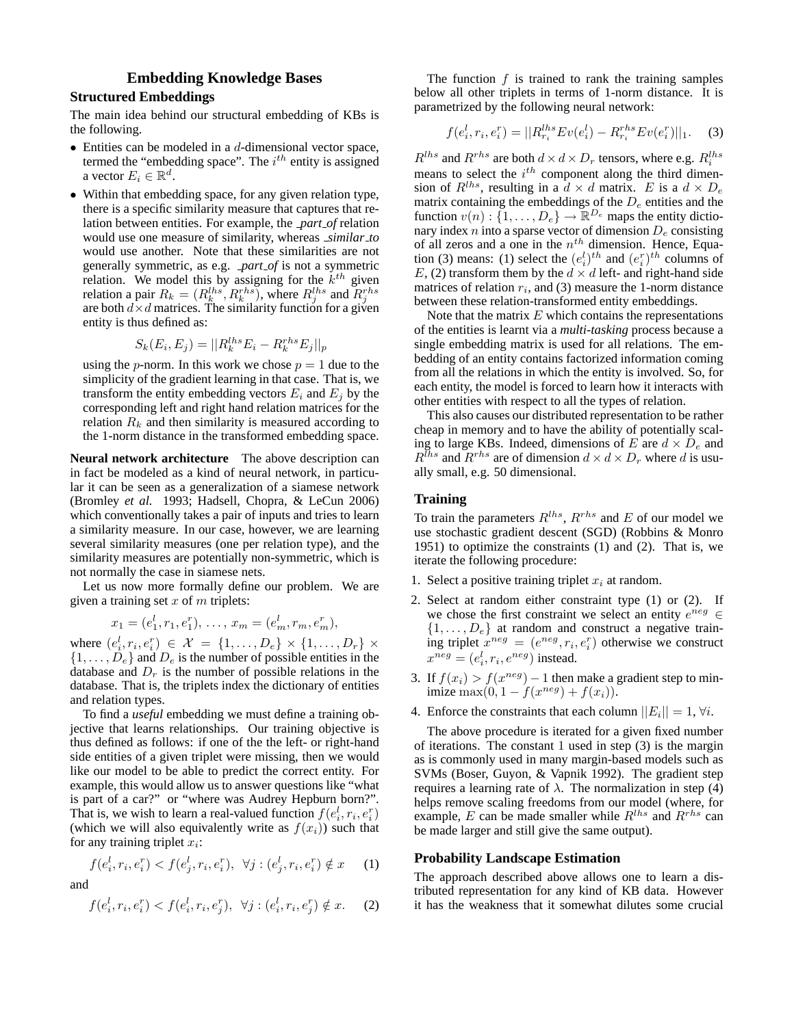# **Embedding Knowledge Bases**

## **Structured Embeddings**

The main idea behind our structural embedding of KBs is the following.

- $\bullet$  Entities can be modeled in a *d*-dimensional vector space, termed the "embedding space". The  $i^{th}$  entity is assigned a vector  $E_i \in \mathbb{R}^d$ .
- Within that embedding space, for any given relation type, there is a specific similarity measure that captures that relation between entities. For example, the *part of* relation would use one measure of similarity, whereas *similar to* would use another. Note that these similarities are not generally symmetric, as e.g. *part of* is not a symmetric relation. We model this by assigning for the  $k^{th}$  given relation a pair  $R_k = (R_k^{lhs}, R_k^{rhs})$ , where  $R_j^{lhs}$  and  $R_j^{rhs}$  are both  $d \times d$  matrices. The similarity function for a given entity is thus defined as:

$$
S_k(E_i, E_j) = ||R_k^{lls} E_i - R_k^{rhs} E_j||_p
$$

using the *p*-norm. In this work we chose  $p = 1$  due to the simplicity of the gradient learning in that case. That is, we transform the entity embedding vectors  $E_i$  and  $E_j$  by the corresponding left and right hand relation matrices for the relation  $R_k$  and then similarity is measured according to the 1-norm distance in the transformed embedding space.

**Neural network architecture** The above description can in fact be modeled as a kind of neural network, in particular it can be seen as a generalization of a siamese network (Bromley *et al.* 1993; Hadsell, Chopra, & LeCun 2006) which conventionally takes a pair of inputs and tries to learn a similarity measure. In our case, however, we are learning several similarity measures (one per relation type), and the similarity measures are potentially non-symmetric, which is not normally the case in siamese nets.

Let us now more formally define our problem. We are given a training set  $x$  of  $m$  triplets:

$$
x_1 = (e_1^l, r_1, e_1^r), \ldots, x_m = (e_m^l, r_m, e_m^r),
$$

where  $(e_i^l, r_i, e_i^r) \in \mathcal{X} = \{1, ..., D_e\} \times \{1, ..., D_r\} \times$  $\{1, \ldots, D_e\}$  and  $D_e$  is the number of possible entities in the database and  $D<sub>r</sub>$  is the number of possible relations in the database. That is, the triplets index the dictionary of entities and relation types.

To find a *useful* embedding we must define a training objective that learns relationships. Our training objective is thus defined as follows: if one of the the left- or right-hand side entities of a given triplet were missing, then we would like our model to be able to predict the correct entity. For example, this would allow us to answer questions like "what is part of a car?" or "where was Audrey Hepburn born?". That is, we wish to learn a real-valued function  $f(e_i^l, r_i, e_i^r)$ (which we will also equivalently write as  $f(x_i)$ ) such that for any training triplet  $x_i$ :

$$
f(e_i^l, r_i, e_i^r) < f(e_j^l, r_i, e_i^r), \ \ \forall j : (e_j^l, r_i, e_i^r) \notin x \tag{1}
$$

and

$$
f(e_i^l, r_i, e_i^r) < f(e_i^l, r_i, e_j^r), \ \ \forall j : (e_i^l, r_i, e_j^r) \notin x. \tag{2}
$$

The function  $f$  is trained to rank the training samples below all other triplets in terms of 1-norm distance. It is parametrized by the following neural network:

$$
f(e_i^l, r_i, e_i^r) = ||R_{r_i}^{lhs} Ev(e_i^l) - R_{r_i}^{rhs} Ev(e_i^r)||_1.
$$
 (3)

 $R^{lhs}$  and  $R^{rhs}$  are both  $d \times d \times D_r$  tensors, where e.g.  $R_i^{lhs}$ means to select the  $i^{th}$  component along the third dimension of  $R^{lhs}$ , resulting in a  $d \times d$  matrix. E is a  $d \times D_e$ matrix containing the embeddings of the  $D_e$  entities and the function  $v(n) : \{1, \ldots, D_e\} \to \mathbb{R}^{D_e}$  maps the entity dictionary index  $n$  into a sparse vector of dimension  $D_e$  consisting of all zeros and a one in the  $n<sup>th</sup>$  dimension. Hence, Equation (3) means: (1) select the  $(e_i^l)^{th}$  and  $(e_i^r)^{th}$  columns of E, (2) transform them by the  $d \times d$  left- and right-hand side matrices of relation  $r_i$ , and (3) measure the 1-norm distance between these relation-transformed entity embeddings.

Note that the matrix  $E$  which contains the representations of the entities is learnt via a *multi-tasking* process because a single embedding matrix is used for all relations. The embedding of an entity contains factorized information coming from all the relations in which the entity is involved. So, for each entity, the model is forced to learn how it interacts with other entities with respect to all the types of relation.

This also causes our distributed representation to be rather cheap in memory and to have the ability of potentially scaling to large KBs. Indeed, dimensions of E are  $d \times D_e$  and  $R^{I_{hs}}$  and  $R^{rhs}$  are of dimension  $d \times d \times D_r$  where d is usually small, e.g. 50 dimensional.

# **Training**

To train the parameters  $R^{lhs}$ ,  $R^{rhs}$  and E of our model we use stochastic gradient descent (SGD) (Robbins & Monro 1951) to optimize the constraints (1) and (2). That is, we iterate the following procedure:

- 1. Select a positive training triplet  $x_i$  at random.
- 2. Select at random either constraint type (1) or (2). If we chose the first constraint we select an entity  $e^{neg} \in$  $\{1, \ldots, D_e\}$  at random and construct a negative training triplet  $x^{neg} = (e^{neg}, r_i, e_i^r)$  otherwise we construct  $x^{neg} = (e_i^l, r_i, e^{neg})$  instead.
- 3. If  $f(x_i) > f(x^{neg}) 1$  then make a gradient step to minimize  $\max(0, 1 - f(x^{neg}) + f(x_i)).$
- 4. Enforce the constraints that each column  $||E_i|| = 1$ ,  $\forall i$ .

The above procedure is iterated for a given fixed number of iterations. The constant 1 used in step (3) is the margin as is commonly used in many margin-based models such as SVMs (Boser, Guyon, & Vapnik 1992). The gradient step requires a learning rate of  $λ$ . The normalization in step (4) helps remove scaling freedoms from our model (where, for example, E can be made smaller while  $R^{lhs}$  and  $R^{rhs}$  can be made larger and still give the same output).

#### **Probability Landscape Estimation**

The approach described above allows one to learn a distributed representation for any kind of KB data. However it has the weakness that it somewhat dilutes some crucial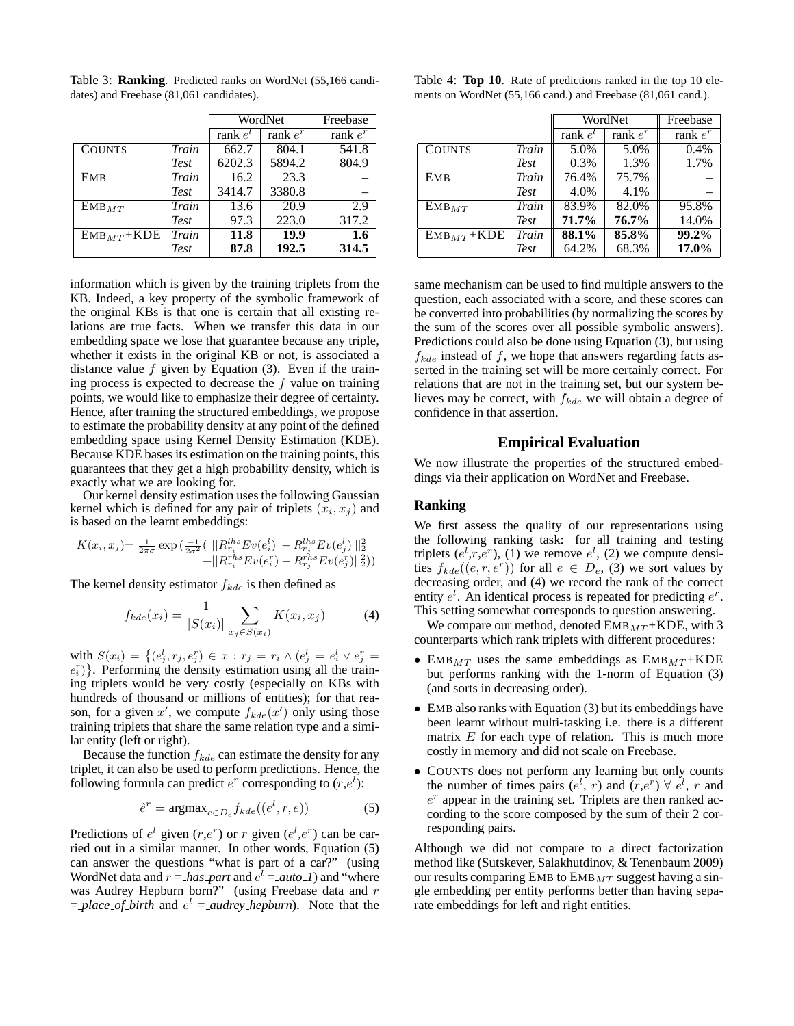|                |             | WordNet      |             | Freebase   |
|----------------|-------------|--------------|-------------|------------|
|                |             | rank $e^{t}$ | rank $e^r$  | rank $e^r$ |
| <b>COUNTS</b>  | Train       | 662.7        | 804.1       | 541.8      |
|                | <b>Test</b> | 6202.3       | 5894.2      | 804.9      |
| EMB            | Train       | 16.2         | 23.3        |            |
|                | <b>Test</b> | 3414.7       | 3380.8      |            |
| $EMB_{MT}$     | Train       | 13.6         | 20.9        | 2.9        |
|                | <b>Test</b> | 97.3         | 223.0       | 317.2      |
| $EMB_{MT}+KDE$ | Train       | 11.8         | <b>19.9</b> | 1.6        |
|                | <b>Test</b> | 87.8         | 192.5       | 314.5      |

Table 3: **Ranking**. Predicted ranks on WordNet (55,166 candidates) and Freebase (81,061 candidates).

information which is given by the training triplets from the KB. Indeed, a key property of the symbolic framework of the original KBs is that one is certain that all existing relations are true facts. When we transfer this data in our embedding space we lose that guarantee because any triple, whether it exists in the original KB or not, is associated a distance value  $f$  given by Equation (3). Even if the training process is expected to decrease the  $f$  value on training points, we would like to emphasize their degree of certainty. Hence, after training the structured embeddings, we propose to estimate the probability density at any point of the defined embedding space using Kernel Density Estimation (KDE). Because KDE bases its estimation on the training points, this guarantees that they get a high probability density, which is exactly what we are looking for.

Our kernel density estimation uses the following Gaussian kernel which is defined for any pair of triplets  $(x_i, x_j)$  and is based on the learnt embeddings:

$$
K(x_i, x_j) = \frac{1}{2\pi\sigma} \exp\left(\frac{-1}{2\sigma^2} \left( \frac{\|R_{r_i}^{hls} E v(e_i^l) - R_{r_j}^{hls} E v(e_j^l) \|^2_2}{+\|R_{r_i}^{hls} E v(e_i^r) - R_{r_j}^{hls} E v(e_j^r)\|^2_2} \right) \right)
$$

The kernel density estimator  $f_{kde}$  is then defined as

$$
f_{kde}(x_i) = \frac{1}{|S(x_i)|} \sum_{x_j \in S(x_i)} K(x_i, x_j)
$$
 (4)

with  $S(x_i) = \{(e^i_j, r_j, e^r_j) \in x : r_j = r_i \wedge (e^i_j = e^i_i \vee e^r_j = 0\})$  $(e_i^r)$ . Performing the density estimation using all the training triplets would be very costly (especially on KBs with hundreds of thousand or millions of entities); for that reason, for a given x', we compute  $f_{kde}(x')$  only using those training triplets that share the same relation type and a similar entity (left or right).

Because the function  $f_{kde}$  can estimate the density for any triplet, it can also be used to perform predictions. Hence, the following formula can predict  $e^r$  corresponding to  $(r,e^l)$ :

$$
\hat{e}^r = \operatorname{argmax}_{e \in D_e} f_{kde}((e^l, r, e)) \tag{5}
$$

Predictions of  $e^l$  given  $(r,e^r)$  or r given  $(e^l,e^r)$  can be carried out in a similar manner. In other words, Equation (5) can answer the questions "what is part of a car?" (using WordNet data and  $r = \text{has}$  *part* and  $e^l = \text{auto}\_l$  and "where was Audrey Hepburn born?" (using Freebase data and r  $=$  *place of birth* and  $e^{l}$  = *audrey hepburn*). Note that the

Table 4: **Top 10**. Rate of predictions ranked in the top 10 elements on WordNet (55,166 cand.) and Freebase (81,061 cand.).

|                |             | WordNet      |            | Freebase   |  |
|----------------|-------------|--------------|------------|------------|--|
|                |             | rank $e^{t}$ | rank $e^r$ | rank $e^r$ |  |
| <b>COUNTS</b>  | Train       | 5.0%         | 5.0%       | 0.4%       |  |
|                | <b>Test</b> | 0.3%         | 1.3%       | 1.7%       |  |
| EMB            | Train       | 76.4%        | 75.7%      |            |  |
|                | <b>Test</b> | 4.0%         | 4.1%       |            |  |
| $EMB_{MT}$     | Train       | 83.9%        | 82.0%      | 95.8%      |  |
|                | <b>Test</b> | 71.7%        | 76.7%      | 14.0%      |  |
| $EMB_{MT}+KDE$ | Train       | 88.1%        | 85.8%      | $99.2\%$   |  |
|                | <b>Test</b> | 64.2%        | 68.3%      | 17.0%      |  |

same mechanism can be used to find multiple answers to the question, each associated with a score, and these scores can be converted into probabilities (by normalizing the scores by the sum of the scores over all possible symbolic answers). Predictions could also be done using Equation (3), but using  $f_{kde}$  instead of f, we hope that answers regarding facts asserted in the training set will be more certainly correct. For relations that are not in the training set, but our system believes may be correct, with  $f_{kde}$  we will obtain a degree of confidence in that assertion.

#### **Empirical Evaluation**

We now illustrate the properties of the structured embeddings via their application on WordNet and Freebase.

## **Ranking**

We first assess the quality of our representations using the following ranking task: for all training and testing triplets  $(e^l, r, e^r)$ , (1) we remove  $e^l$ , (2) we compute densities  $f_{kde}((e, r, e^r))$  for all  $e \in D_e$ , (3) we sort values by decreasing order, and (4) we record the rank of the correct entity  $e^l$ . An identical process is repeated for predicting  $e^r$ . This setting somewhat corresponds to question answering.

We compare our method, denoted  $\text{EMB}_{MT} + \text{KDE}$ , with 3 counterparts which rank triplets with different procedures:

- EMB<sub>MT</sub> uses the same embeddings as  $EMB<sub>MT</sub> + KDE$ but performs ranking with the 1-norm of Equation (3) (and sorts in decreasing order).
- EMB also ranks with Equation (3) but its embeddings have been learnt without multi-tasking i.e. there is a different matrix  $E$  for each type of relation. This is much more costly in memory and did not scale on Freebase.
- COUNTS does not perform any learning but only counts the number of times pairs  $(e^l, r)$  and  $(r, e^r) \forall e^l, r$  and  $e^r$  appear in the training set. Triplets are then ranked according to the score composed by the sum of their 2 corresponding pairs.

Although we did not compare to a direct factorization method like (Sutskever, Salakhutdinov, & Tenenbaum 2009) our results comparing EMB to  $\text{EMB}_{MT}$  suggest having a single embedding per entity performs better than having separate embeddings for left and right entities.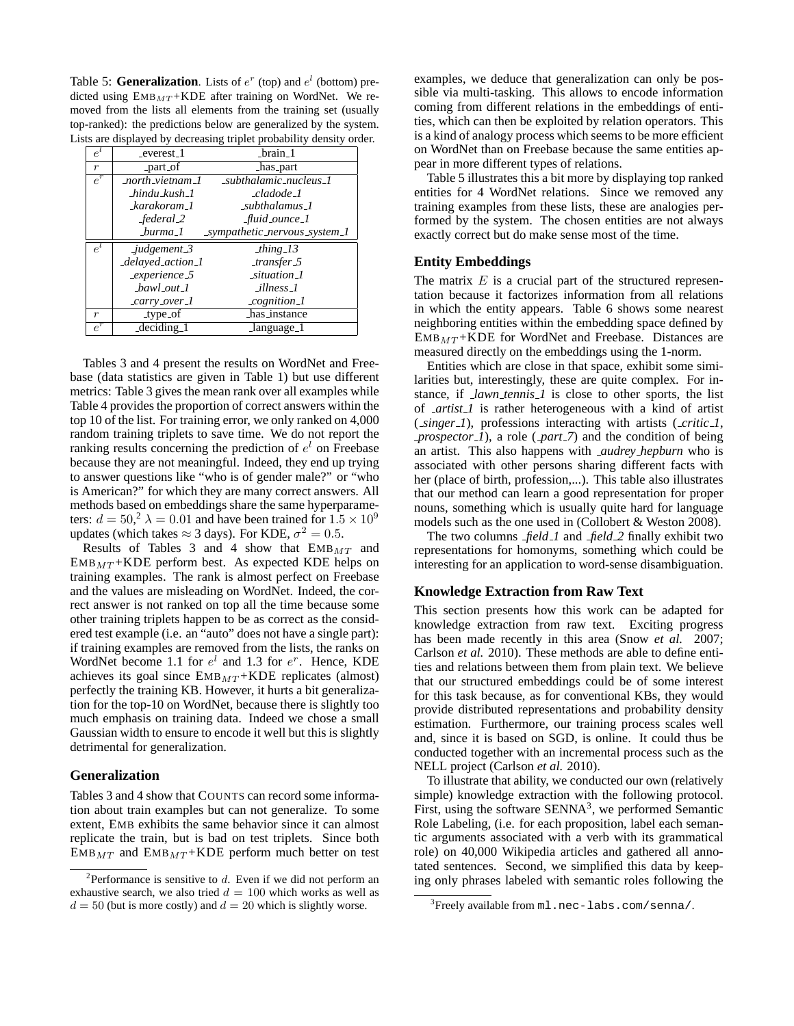Table 5: **Generalization**. Lists of  $e^r$  (top) and  $e^l$  (bottom) predicted using  $EMB<sub>MT</sub> + KDE$  after training on WordNet. We removed from the lists all elements from the training set (usually top-ranked): the predictions below are generalized by the system. Lists are displayed by decreasing triplet probability density order.

| $e^l$            | _everest_1                                | $-brain_1$                    |
|------------------|-------------------------------------------|-------------------------------|
| $\boldsymbol{r}$ | _part_of                                  | has_part                      |
| $e^{r}$          | north vietnam 1                           | subthalamic nucleus 1         |
|                  | $\_hindu\_kush\_l$                        | _cladode_1                    |
|                  | karakoram 1                               | subthalamus 1                 |
|                  | federal_2                                 | _fluid_ounce_1                |
|                  | burma 1                                   | _sympathetic_nervous_system_1 |
| $e^{l}$          | $-$ judgement $-$ 3                       | _thing_13                     |
|                  | _delayed_action_1                         | $_transfer_5$                 |
|                  | $experience_5$                            | $\_situation_$                |
|                  | $bawl_out_l$                              | _illness_1                    |
|                  | $_{carry. over.}$                         | $_{cognition\_l}$             |
| $\boldsymbol{r}$ | _type_of                                  | has_instance                  |
| $e^{r}$          | $\overline{\text{deciding}}$ <sub>1</sub> | language_1                    |

Tables 3 and 4 present the results on WordNet and Freebase (data statistics are given in Table 1) but use different metrics: Table 3 gives the mean rank over all examples while Table 4 provides the proportion of correct answers within the top 10 of the list. For training error, we only ranked on 4,000 random training triplets to save time. We do not report the ranking results concerning the prediction of  $e^l$  on Freebase because they are not meaningful. Indeed, they end up trying to answer questions like "who is of gender male?" or "who is American?" for which they are many correct answers. All methods based on embeddings share the same hyperparameters:  $d = 50<sup>2</sup> \lambda = 0.01$  and have been trained for  $1.5 \times 10<sup>9</sup>$ updates (which takes  $\approx$  3 days). For KDE,  $\sigma^2 = 0.5$ .

Results of Tables 3 and 4 show that  $EMB_{MT}$  and  $EMB_{MT}$ +KDE perform best. As expected KDE helps on training examples. The rank is almost perfect on Freebase and the values are misleading on WordNet. Indeed, the correct answer is not ranked on top all the time because some other training triplets happen to be as correct as the considered test example (i.e. an "auto" does not have a single part): if training examples are removed from the lists, the ranks on WordNet become 1.1 for  $e^l$  and 1.3 for  $e^r$ . Hence, KDE achieves its goal since  $EMB_{MT}+KDE$  replicates (almost) perfectly the training KB. However, it hurts a bit generalization for the top-10 on WordNet, because there is slightly too much emphasis on training data. Indeed we chose a small Gaussian width to ensure to encode it well but this is slightly detrimental for generalization.

## **Generalization**

Tables 3 and 4 show that COUNTS can record some information about train examples but can not generalize. To some extent, EMB exhibits the same behavior since it can almost replicate the train, but is bad on test triplets. Since both  $EMB_{MT}$  and  $EMB_{MT}$ +KDE perform much better on test

examples, we deduce that generalization can only be possible via multi-tasking. This allows to encode information coming from different relations in the embeddings of entities, which can then be exploited by relation operators. This is a kind of analogy process which seems to be more efficient on WordNet than on Freebase because the same entities appear in more different types of relations.

Table 5 illustrates this a bit more by displaying top ranked entities for 4 WordNet relations. Since we removed any training examples from these lists, these are analogies performed by the system. The chosen entities are not always exactly correct but do make sense most of the time.

# **Entity Embeddings**

The matrix  $E$  is a crucial part of the structured representation because it factorizes information from all relations in which the entity appears. Table 6 shows some nearest neighboring entities within the embedding space defined by  $EMB<sub>MT</sub> + KDE$  for WordNet and Freebase. Distances are measured directly on the embeddings using the 1-norm.

Entities which are close in that space, exhibit some similarities but, interestingly, these are quite complex. For instance, if *lawn tennis 1* is close to other sports, the list of *artist 1* is rather heterogeneous with a kind of artist ( *singer 1*), professions interacting with artists ( *critic 1*, *prospector 1*), a role ( *part 7*) and the condition of being an artist. This also happens with *audrey hepburn* who is associated with other persons sharing different facts with her (place of birth, profession,...). This table also illustrates that our method can learn a good representation for proper nouns, something which is usually quite hard for language models such as the one used in (Collobert & Weston 2008).

The two columns *field 1* and *field 2* finally exhibit two representations for homonyms, something which could be interesting for an application to word-sense disambiguation.

# **Knowledge Extraction from Raw Text**

This section presents how this work can be adapted for knowledge extraction from raw text. Exciting progress has been made recently in this area (Snow *et al.* 2007; Carlson *et al.* 2010). These methods are able to define entities and relations between them from plain text. We believe that our structured embeddings could be of some interest for this task because, as for conventional KBs, they would provide distributed representations and probability density estimation. Furthermore, our training process scales well and, since it is based on SGD, is online. It could thus be conducted together with an incremental process such as the NELL project (Carlson *et al.* 2010).

To illustrate that ability, we conducted our own (relatively simple) knowledge extraction with the following protocol. First, using the software SENNA<sup>3</sup>, we performed Semantic Role Labeling, (i.e. for each proposition, label each semantic arguments associated with a verb with its grammatical role) on 40,000 Wikipedia articles and gathered all annotated sentences. Second, we simplified this data by keeping only phrases labeled with semantic roles following the

<sup>&</sup>lt;sup>2</sup>Performance is sensitive to  $d$ . Even if we did not perform an exhaustive search, we also tried  $d = 100$  which works as well as  $d = 50$  (but is more costly) and  $d = 20$  which is slightly worse.

 $^3$ Freely available from ml .nec-labs.com/senna/.